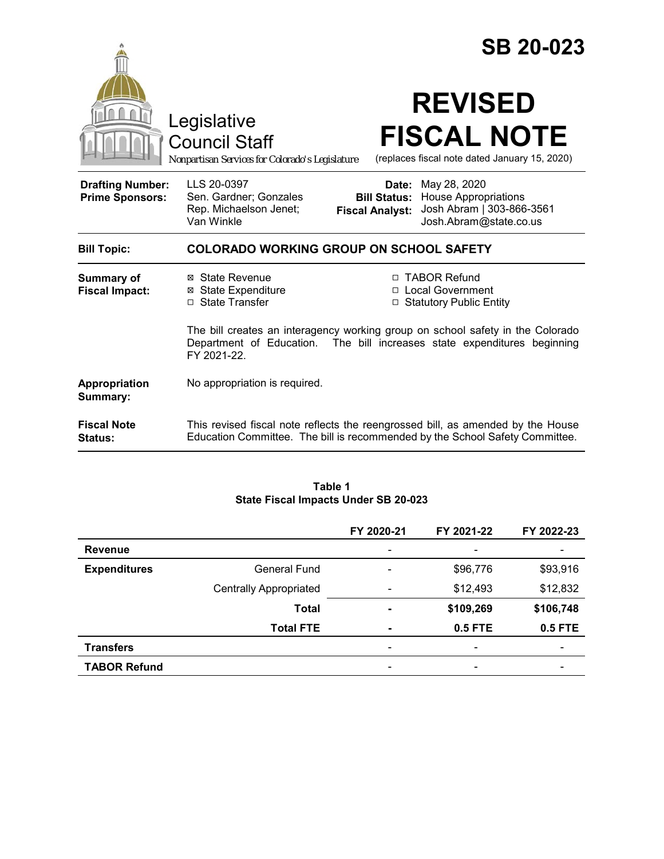|                                                   |                                                                                                                                                                              |                                 | <b>SB 20-023</b>                                                                                                                                                |  |
|---------------------------------------------------|------------------------------------------------------------------------------------------------------------------------------------------------------------------------------|---------------------------------|-----------------------------------------------------------------------------------------------------------------------------------------------------------------|--|
|                                                   | Legislative<br><b>Council Staff</b><br>Nonpartisan Services for Colorado's Legislature                                                                                       |                                 | <b>REVISED</b><br><b>FISCAL NOTE</b><br>(replaces fiscal note dated January 15, 2020)                                                                           |  |
| <b>Drafting Number:</b><br><b>Prime Sponsors:</b> | LLS 20-0397<br>Sen. Gardner; Gonzales<br>Rep. Michaelson Jenet;<br>Van Winkle                                                                                                | Date:<br><b>Fiscal Analyst:</b> | May 28, 2020<br><b>Bill Status: House Appropriations</b><br>Josh Abram   303-866-3561<br>Josh.Abram@state.co.us                                                 |  |
| <b>Bill Topic:</b>                                | <b>COLORADO WORKING GROUP ON SCHOOL SAFETY</b>                                                                                                                               |                                 |                                                                                                                                                                 |  |
| <b>Summary of</b><br><b>Fiscal Impact:</b>        | ⊠ State Revenue<br><b>⊠</b> State Expenditure<br>□ State Transfer                                                                                                            |                                 | □ TABOR Refund<br>□ Local Government<br>□ Statutory Public Entity                                                                                               |  |
|                                                   | The bill creates an interagency working group on school safety in the Colorado<br>The bill increases state expenditures beginning<br>Department of Education.<br>FY 2021-22. |                                 |                                                                                                                                                                 |  |
| Appropriation<br>Summary:                         | No appropriation is required.                                                                                                                                                |                                 |                                                                                                                                                                 |  |
| <b>Fiscal Note</b><br>Status:                     |                                                                                                                                                                              |                                 | This revised fiscal note reflects the reengrossed bill, as amended by the House<br>Education Committee. The bill is recommended by the School Safety Committee. |  |

#### **Table 1 State Fiscal Impacts Under SB 20-023**

|                     |                               | FY 2020-21 | FY 2021-22               | FY 2022-23 |
|---------------------|-------------------------------|------------|--------------------------|------------|
| <b>Revenue</b>      |                               |            | $\overline{\phantom{0}}$ |            |
| <b>Expenditures</b> | <b>General Fund</b>           |            | \$96,776                 | \$93,916   |
|                     | <b>Centrally Appropriated</b> |            | \$12,493                 | \$12,832   |
|                     | <b>Total</b>                  | -          | \$109,269                | \$106,748  |
|                     | <b>Total FTE</b>              | ۰          | 0.5 FTE                  | 0.5 FTE    |
| <b>Transfers</b>    |                               | -          | $\overline{\phantom{a}}$ | -          |
| <b>TABOR Refund</b> |                               |            | $\qquad \qquad$          |            |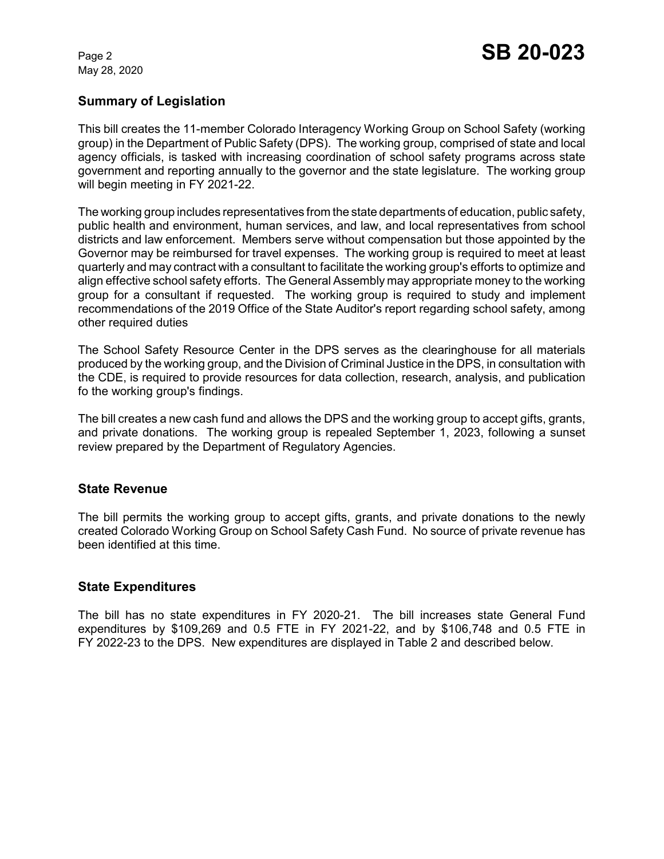May 28, 2020

### **Summary of Legislation**

This bill creates the 11-member Colorado Interagency Working Group on School Safety (working group) in the Department of Public Safety (DPS). The working group, comprised of state and local agency officials, is tasked with increasing coordination of school safety programs across state government and reporting annually to the governor and the state legislature. The working group will begin meeting in FY 2021-22.

The working group includes representatives from the state departments of education, public safety, public health and environment, human services, and law, and local representatives from school districts and law enforcement. Members serve without compensation but those appointed by the Governor may be reimbursed for travel expenses. The working group is required to meet at least quarterly and may contract with a consultant to facilitate the working group's efforts to optimize and align effective school safety efforts. The General Assembly may appropriate money to the working group for a consultant if requested. The working group is required to study and implement recommendations of the 2019 Office of the State Auditor's report regarding school safety, among other required duties

The School Safety Resource Center in the DPS serves as the clearinghouse for all materials produced by the working group, and the Division of Criminal Justice in the DPS, in consultation with the CDE, is required to provide resources for data collection, research, analysis, and publication fo the working group's findings.

The bill creates a new cash fund and allows the DPS and the working group to accept gifts, grants, and private donations. The working group is repealed September 1, 2023, following a sunset review prepared by the Department of Regulatory Agencies.

#### **State Revenue**

The bill permits the working group to accept gifts, grants, and private donations to the newly created Colorado Working Group on School Safety Cash Fund. No source of private revenue has been identified at this time.

#### **State Expenditures**

The bill has no state expenditures in FY 2020-21. The bill increases state General Fund expenditures by \$109,269 and 0.5 FTE in FY 2021-22, and by \$106,748 and 0.5 FTE in FY 2022-23 to the DPS. New expenditures are displayed in Table 2 and described below.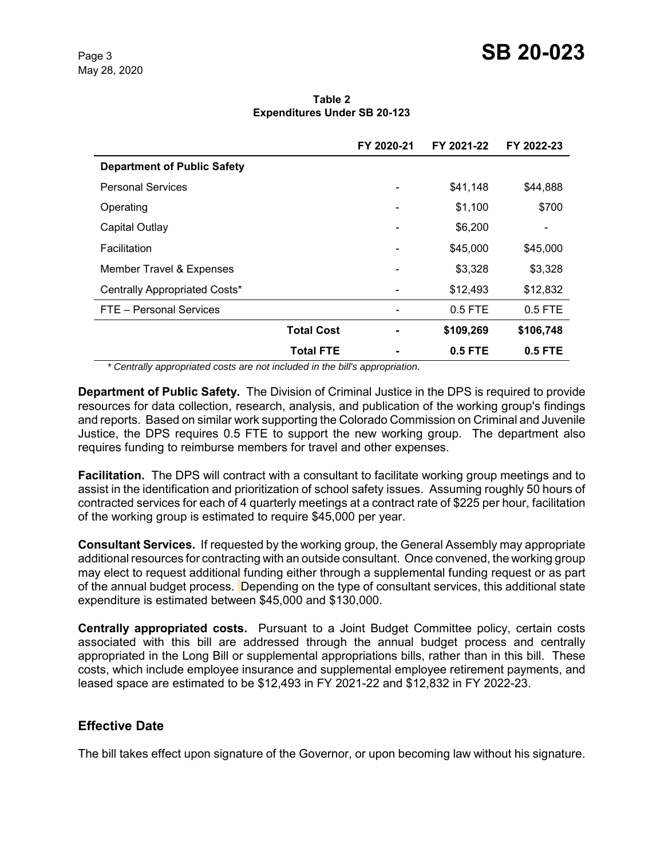**Table 2 Expenditures Under SB 20-123**

|                                    | FY 2020-21 | FY 2021-22 | FY 2022-23 |
|------------------------------------|------------|------------|------------|
| <b>Department of Public Safety</b> |            |            |            |
| <b>Personal Services</b>           |            | \$41,148   | \$44,888   |
| Operating                          |            | \$1,100    | \$700      |
| Capital Outlay                     |            | \$6,200    |            |
| Facilitation                       |            | \$45,000   | \$45,000   |
| Member Travel & Expenses           |            | \$3.328    | \$3,328    |
| Centrally Appropriated Costs*      |            | \$12,493   | \$12,832   |
| FTE - Personal Services            |            | $0.5$ FTE  | $0.5$ FTE  |
| <b>Total Cost</b>                  |            | \$109,269  | \$106,748  |
| <b>Total FTE</b>                   |            | 0.5 FTE    | $0.5$ FTE  |

 *\* Centrally appropriated costs are not included in the bill's appropriation.*

**Department of Public Safety.** The Division of Criminal Justice in the DPS is required to provide resources for data collection, research, analysis, and publication of the working group's findings and reports. Based on similar work supporting the Colorado Commission on Criminal and Juvenile Justice, the DPS requires 0.5 FTE to support the new working group. The department also requires funding to reimburse members for travel and other expenses.

**Facilitation.** The DPS will contract with a consultant to facilitate working group meetings and to assist in the identification and prioritization of school safety issues. Assuming roughly 50 hours of contracted services for each of 4 quarterly meetings at a contract rate of \$225 per hour, facilitation of the working group is estimated to require \$45,000 per year.

**Consultant Services.** If requested by the working group, the General Assembly may appropriate additional resources for contracting with an outside consultant. Once convened, the working group may elect to request additional funding either through a supplemental funding request or as part of the annual budget process. Depending on the type of consultant services, this additional state expenditure is estimated between \$45,000 and \$130,000.

**Centrally appropriated costs.** Pursuant to a Joint Budget Committee policy, certain costs associated with this bill are addressed through the annual budget process and centrally appropriated in the Long Bill or supplemental appropriations bills, rather than in this bill. These costs, which include employee insurance and supplemental employee retirement payments, and leased space are estimated to be \$12,493 in FY 2021-22 and \$12,832 in FY 2022-23.

## **Effective Date**

The bill takes effect upon signature of the Governor, or upon becoming law without his signature.